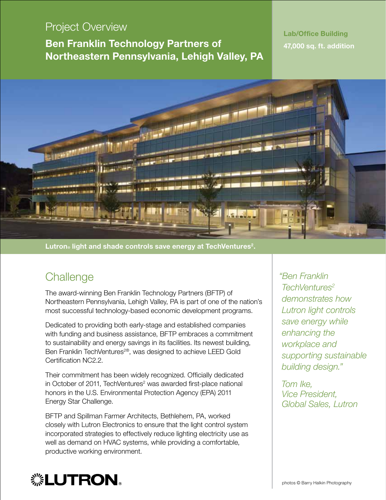### Project Overview

Ben Franklin Technology Partners of Northeastern Pennsylvania, Lehigh Valley, PA

#### Lab/Office Building 47,000 sq. ft. addition



Lutron® light and shade controls save energy at TechVentures<sup>2</sup>.

# **Challenge**

The award-winning Ben Franklin Technology Partners (BFTP) of Northeastern Pennsylvania, Lehigh Valley, PA is part of one of the nation's most successful technology-based economic development programs.

Dedicated to providing both early-stage and established companies with funding and business assistance, BFTP embraces a commitment to sustainability and energy savings in its facilities. Its newest building, Ben Franklin TechVentures<sup>2®</sup>, was designed to achieve LEED Gold Certification NC2.2.

Their commitment has been widely recognized. Officially dedicated in October of 2011, TechVentures<sup>2</sup> was awarded first-place national honors in the U.S. Environmental Protection Agency (EPA) 2011 Energy Star Challenge.

BFTP and Spillman Farmer Architects, Bethlehem, PA, worked closely with Lutron Electronics to ensure that the light control system incorporated strategies to effectively reduce lighting electricity use as well as demand on HVAC systems, while providing a comfortable, productive working environment.

*"Ben Franklin TechVentures2 demonstrates how Lutron light controls save energy while enhancing the workplace and supporting sustainable building design."*

 *Tom Ike, Vice President, Global Sales, Lutron*